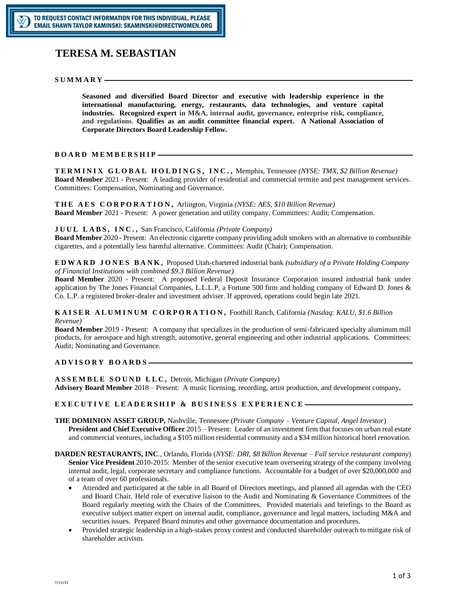# **[TERESA M. SEBASTIAN](mailto:tsebastian@dominionasset.com)**

#### $SUMMARY -$

**Seasoned and diversified Board Director and executive with leadership experience in the international manufacturing, energy, restaurants, data technologies, and venture capital industries. Recognized expert in M&A, internal audit, governance, enterprise risk, compliance, and regulations**. **Qualifies as an audit committee financial expert. A National Association of Corporate Directors Board Leadership Fellow.**

## **BOARD MEMBERSHIP-**

**T E R M I N I X G L O B A L H O L D I N G S , I N C . ,** Memphis, Tennessee *(NYSE: TMX, \$2 Billion Revenue)* **Board Member** 2021 - Present: A leading provider of residential and commercial termite and pest management services. Committees: Compensation, Nominating and Governance.

**T H E A E S C O R P O R A T I O N ,** Arlington, Virginia *(NYSE: AES, \$10 Billion Revenue)* **Board Member** 2021 - Present: A power generation and utility company. Committees: Audit; Compensation.

**J U U L L A B S , I N C . ,** San Francisco, California *(Private Company)*

**Board Member** 2020 - Present: An electronic cigarette company providing adult smokers with an alternative to combustible cigarettes, and a potentially less harmful alternative. Committees: Audit (Chair); Compensation.

**E D W A R D J O N E S B A N K ,** Proposed Utah-chartered industrial bank *(subsidiary of a Private Holding Company of Financial Institutions with combined \$9.3 Billion Revenue)*

**Board Member** 2020 - Present: A proposed Federal Deposit Insurance Corporation insured industrial bank under application by The Jones Financial Companies, L.L.L.P, a Fortune 500 firm and holding company of Edward D. Jones & Co. L.P. a registered broker-dealer and investment adviser. If approved, operations could begin late 2021.

## **K A I S E R A L U M I N U M C O R P O R A T I O N ,** Foothill Ranch, California *(Nasdaq: KALU, \$1.6 Billion Revenue)*

**Board Member** 2019 - Present: A company that specializes in the production of semi-fabricated specialty aluminum mill products, for aerospace and high strength, automotive, general engineering and other industrial applications. Committees: Audit; Nominating and Governance.

# ADVISORY BOARDS-

**A S S E M B L E S O U N D L L C ,** Detroit, Michigan (*Private Company*) **Advisory Board Member** 2018 – Present: A music licensing, recording, artist production, and development company**.**

# EXECUTIVE LEADERSHIP & BUSINESS EXPERIENCE-

- **THE DOMINION ASSET GROUP,** Nashville, Tennessee (*Private Company – Venture Capital, Angel Investor*) **President and Chief Executive Officer** 2015 – Present: Leader of an investment firm that focuses on urban real estate and commercial ventures, including a \$105 million residential community and a \$34 million historical hotel renovation.
- **DARDEN RESTAURANTS, INC**., Orlando, Florida (*NYSE: DRI, \$8 Billion Revenue – Full service restaurant company*) **Senior Vice President** 2010-2015: Member of the senior executive team overseeing strategy of the company involving internal audit, legal, corporate secretary and compliance functions. Accountable for a budget of over \$20,000,000 and of a team of over 60 professionals.
	- Attended and participated at the table in all Board of Directors meetings, and planned all agendas with the CEO and Board Chair. Held role of executive liaison to the Audit and Nominating & Governance Committees of the Board regularly meeting with the Chairs of the Committees. Provided materials and briefings to the Board as executive subject matter expert on internal audit, compliance, governance and legal matters, including M&A and securities issues. Prepared Board minutes and other governance documentation and procedures.
	- Provided strategic leadership in a high-stakes proxy contest and conducted shareholder outreach to mitigate risk of shareholder activism.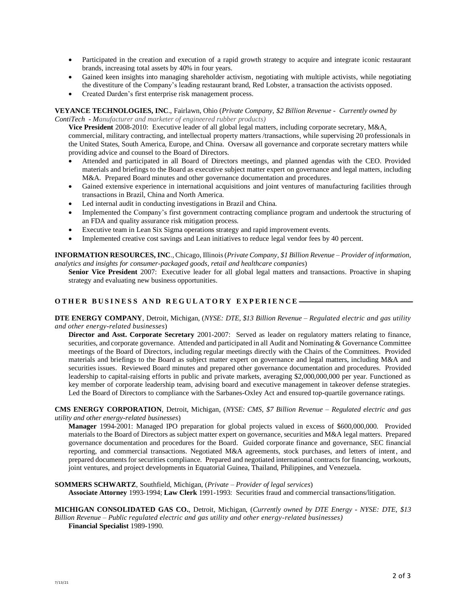- Participated in the creation and execution of a rapid growth strategy to acquire and integrate iconic restaurant brands, increasing total assets by 40% in four years.
- Gained keen insights into managing shareholder activism, negotiating with multiple activists, while negotiating the divestiture of the Company's leading restaurant brand, Red Lobster, a transaction the activists opposed.
- Created Darden's first enterprise risk management process.

**VEYANCE TECHNOLOGIES, INC**., Fairlawn, Ohio (*Private Company, \$2 Billion Revenue - Currently owned by ContiTech - Manufacturer and marketer of engineered rubber products)*

**Vice President** 2008-2010: Executive leader of all global legal matters, including corporate secretary, M&A, commercial, military contracting, and intellectual property matters /transactions, while supervising 20 professionals in the United States, South America, Europe, and China. Oversaw all governance and corporate secretary matters while providing advice and counsel to the Board of Directors.

- Attended and participated in all Board of Directors meetings, and planned agendas with the CEO. Provided materials and briefings to the Board as executive subject matter expert on governance and legal matters, including M&A. Prepared Board minutes and other governance documentation and procedures.
- Gained extensive experience in international acquisitions and joint ventures of manufacturing facilities through transactions in Brazil, China and North America.
- Led internal audit in conducting investigations in Brazil and China.
- Implemented the Company's first government contracting compliance program and undertook the structuring of an FDA and quality assurance risk mitigation process.
- Executive team in Lean Six Sigma operations strategy and rapid improvement events.
- Implemented creative cost savings and Lean initiatives to reduce legal vendor fees by 40 percent.

**INFORMATION RESOURCES, INC**., Chicago, Illinois(*Private Company, \$1 Billion Revenue – Provider of information, analytics and insights for consumer-packaged goods, retail and healthcare companies*)

**Senior Vice President** 2007: Executive leader for all global legal matters and transactions. Proactive in shaping strategy and evaluating new business opportunities.

## OTHER BUSINESS AND REGULATORY EXPERIENCE-

**DTE ENERGY COMPANY**, Detroit, Michigan, (*NYSE: DTE, \$13 Billion Revenue – Regulated electric and gas utility and other energy-related businesses*)

**Director and Asst. Corporate Secretary** 2001-2007: Served as leader on regulatory matters relating to finance, securities, and corporate governance. Attended and participated in all Audit and Nominating & Governance Committee meetings of the Board of Directors, including regular meetings directly with the Chairs of the Committees. Provided materials and briefings to the Board as subject matter expert on governance and legal matters, including M&A and securities issues. Reviewed Board minutes and prepared other governance documentation and procedures. Provided leadership to capital-raising efforts in public and private markets, averaging \$2,000,000,000 per year. Functioned as key member of corporate leadership team, advising board and executive management in takeover defense strategies. Led the Board of Directors to compliance with the Sarbanes-Oxley Act and ensured top-quartile governance ratings.

**CMS ENERGY CORPORATION**, Detroit, Michigan, (*NYSE: CMS, \$7 Billion Revenue – Regulated electric and gas utility and other energy-related businesses*)

**Manager** 1994-2001: Managed IPO preparation for global projects valued in excess of \$600,000,000. Provided materials to the Board of Directors as subject matter expert on governance, securities and M&A legal matters. Prepared governance documentation and procedures for the Board. Guided corporate finance and governance, SEC financial reporting, and commercial transactions. Negotiated M&A agreements, stock purchases, and letters of intent, and prepared documents for securities compliance. Prepared and negotiated international contracts for financing, workouts, joint ventures, and project developments in Equatorial Guinea, Thailand, Philippines, and Venezuela.

**SOMMERS SCHWARTZ**, Southfield, Michigan, (*Private – Provider of legal services*) **Associate Attorney** 1993-1994; **Law Clerk** 1991-1993: Securities fraud and commercial transactions/litigation.

**MICHIGAN CONSOLIDATED GAS CO.**, Detroit, Michigan, (*Currently owned by DTE Energy - NYSE: DTE, \$13 Billion Revenue – Public regulated electric and gas utility and other energy-related businesses)* **Financial Specialist** 1989-1990.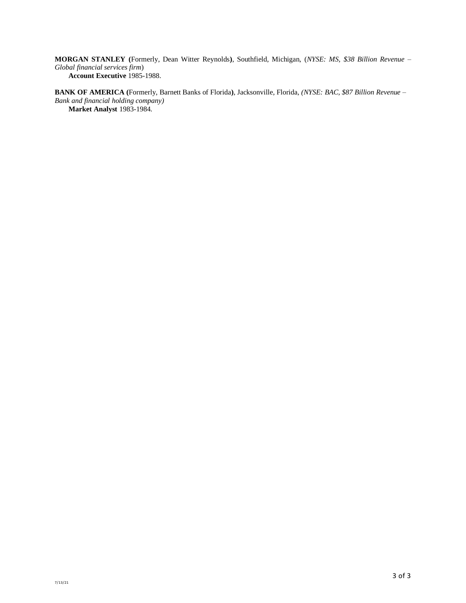**MORGAN STANLEY (**Formerly, Dean Witter Reynolds**)**, Southfield, Michigan, (*NYSE: MS, \$38 Billion Revenue – Global financial services firm*) **Account Executive** 1985-1988.

**BANK OF AMERICA (**Formerly, Barnett Banks of Florida**)**, Jacksonville, Florida, *(NYSE: BAC, \$87 Billion Revenue – Bank and financial holding company)* **Market Analyst** 1983-1984.